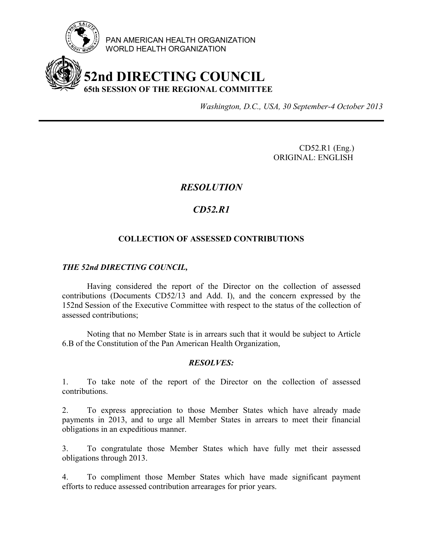

PAN AMERICAN HEALTH ORGANIZATION WORLD HEALTH ORGANIZATION

# **52nd DIRECTING COUNCIL 65th SESSION OF THE REGIONAL COMMITTEE**

*Washington, D.C., USA, 30 September-4 October 2013*

CD52.R1 (Eng.) ORIGINAL: ENGLISH

### *RESOLUTION*

## *CD52.R1*

#### **COLLECTION OF ASSESSED CONTRIBUTIONS**

#### *THE 52nd DIRECTING COUNCIL,*

Having considered the report of the Director on the collection of assessed contributions (Documents CD52/13 and Add. I), and the concern expressed by the 152nd Session of the Executive Committee with respect to the status of the collection of assessed contributions;

Noting that no Member State is in arrears such that it would be subject to Article 6.B of the Constitution of the Pan American Health Organization,

#### *RESOLVES:*

1. To take note of the report of the Director on the collection of assessed contributions.

2. To express appreciation to those Member States which have already made payments in 2013, and to urge all Member States in arrears to meet their financial obligations in an expeditious manner.

3. To congratulate those Member States which have fully met their assessed obligations through 2013.

4. To compliment those Member States which have made significant payment efforts to reduce assessed contribution arrearages for prior years.